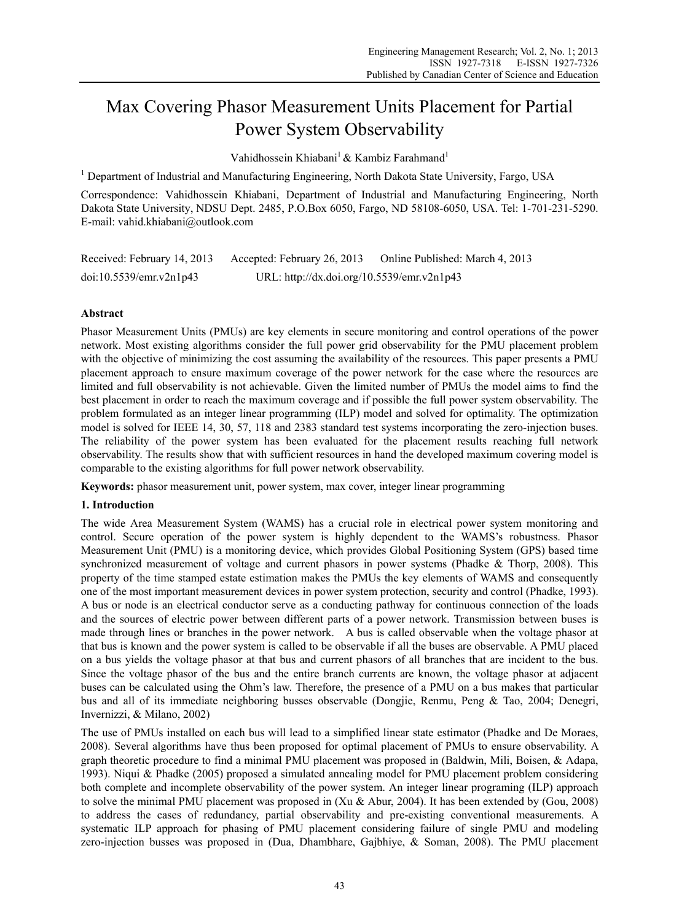# Max Covering Phasor Measurement Units Placement for Partial Power System Observability

Vahidhossein Khiabani<sup>1</sup> & Kambiz Farahmand<sup>1</sup>

<sup>1</sup> Department of Industrial and Manufacturing Engineering, North Dakota State University, Fargo, USA

Correspondence: Vahidhossein Khiabani, Department of Industrial and Manufacturing Engineering, North Dakota State University, NDSU Dept. 2485, P.O.Box 6050, Fargo, ND 58108-6050, USA. Tel: 1-701-231-5290. E-mail: vahid.khiabani@outlook.com

| Received: February 14, 2013 | Accepted: February 26, 2013                | Online Published: March 4, 2013 |
|-----------------------------|--------------------------------------------|---------------------------------|
| doi:10.5539/emr.v2n1p43     | URL: http://dx.doi.org/10.5539/emr.v2n1p43 |                                 |

### **Abstract**

Phasor Measurement Units (PMUs) are key elements in secure monitoring and control operations of the power network. Most existing algorithms consider the full power grid observability for the PMU placement problem with the objective of minimizing the cost assuming the availability of the resources. This paper presents a PMU placement approach to ensure maximum coverage of the power network for the case where the resources are limited and full observability is not achievable. Given the limited number of PMUs the model aims to find the best placement in order to reach the maximum coverage and if possible the full power system observability. The problem formulated as an integer linear programming (ILP) model and solved for optimality. The optimization model is solved for IEEE 14, 30, 57, 118 and 2383 standard test systems incorporating the zero-injection buses. The reliability of the power system has been evaluated for the placement results reaching full network observability. The results show that with sufficient resources in hand the developed maximum covering model is comparable to the existing algorithms for full power network observability.

**Keywords:** phasor measurement unit, power system, max cover, integer linear programming

### **1. Introduction**

The wide Area Measurement System (WAMS) has a crucial role in electrical power system monitoring and control. Secure operation of the power system is highly dependent to the WAMS's robustness. Phasor Measurement Unit (PMU) is a monitoring device, which provides Global Positioning System (GPS) based time synchronized measurement of voltage and current phasors in power systems (Phadke & Thorp, 2008). This property of the time stamped estate estimation makes the PMUs the key elements of WAMS and consequently one of the most important measurement devices in power system protection, security and control (Phadke, 1993). A bus or node is an electrical conductor serve as a conducting pathway for continuous connection of the loads and the sources of electric power between different parts of a power network. Transmission between buses is made through lines or branches in the power network. A bus is called observable when the voltage phasor at that bus is known and the power system is called to be observable if all the buses are observable. A PMU placed on a bus yields the voltage phasor at that bus and current phasors of all branches that are incident to the bus. Since the voltage phasor of the bus and the entire branch currents are known, the voltage phasor at adjacent buses can be calculated using the Ohm's law. Therefore, the presence of a PMU on a bus makes that particular bus and all of its immediate neighboring busses observable (Dongjie, Renmu, Peng & Tao, 2004; Denegri, Invernizzi, & Milano, 2002)

The use of PMUs installed on each bus will lead to a simplified linear state estimator (Phadke and De Moraes, 2008). Several algorithms have thus been proposed for optimal placement of PMUs to ensure observability. A graph theoretic procedure to find a minimal PMU placement was proposed in (Baldwin, Mili, Boisen, & Adapa, 1993). Niqui & Phadke (2005) proposed a simulated annealing model for PMU placement problem considering both complete and incomplete observability of the power system. An integer linear programing (ILP) approach to solve the minimal PMU placement was proposed in (Xu & Abur, 2004). It has been extended by (Gou, 2008) to address the cases of redundancy, partial observability and pre-existing conventional measurements. A systematic ILP approach for phasing of PMU placement considering failure of single PMU and modeling zero-injection busses was proposed in (Dua, Dhambhare, Gajbhiye, & Soman, 2008). The PMU placement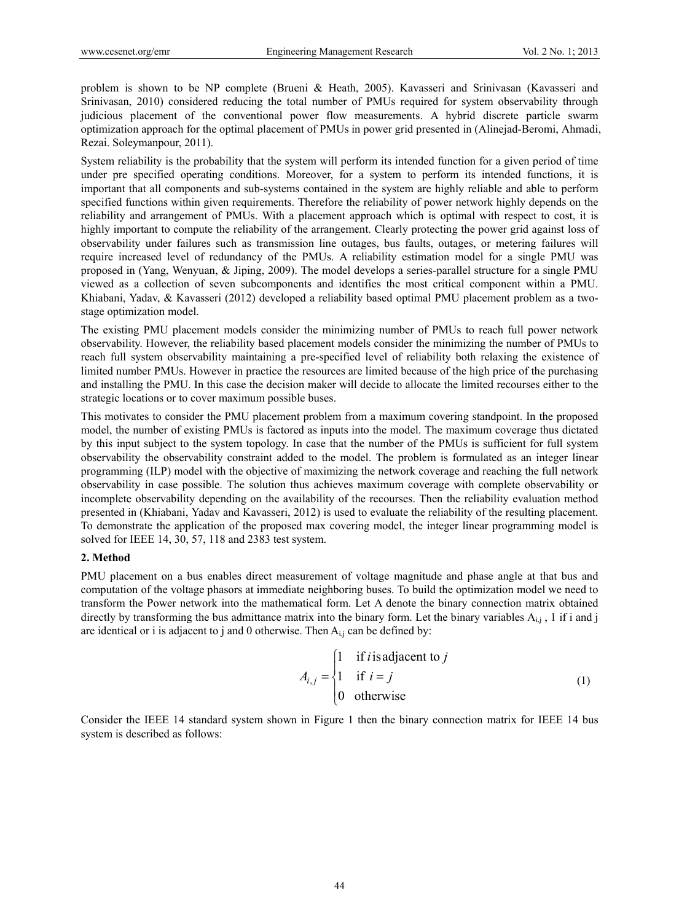problem is shown to be NP complete (Brueni & Heath, 2005). Kavasseri and Srinivasan (Kavasseri and Srinivasan, 2010) considered reducing the total number of PMUs required for system observability through judicious placement of the conventional power flow measurements. A hybrid discrete particle swarm optimization approach for the optimal placement of PMUs in power grid presented in (Alinejad-Beromi, Ahmadi, Rezai. Soleymanpour, 2011).

System reliability is the probability that the system will perform its intended function for a given period of time under pre specified operating conditions. Moreover, for a system to perform its intended functions, it is important that all components and sub-systems contained in the system are highly reliable and able to perform specified functions within given requirements. Therefore the reliability of power network highly depends on the reliability and arrangement of PMUs. With a placement approach which is optimal with respect to cost, it is highly important to compute the reliability of the arrangement. Clearly protecting the power grid against loss of observability under failures such as transmission line outages, bus faults, outages, or metering failures will require increased level of redundancy of the PMUs. A reliability estimation model for a single PMU was proposed in (Yang, Wenyuan, & Jiping, 2009). The model develops a series-parallel structure for a single PMU viewed as a collection of seven subcomponents and identifies the most critical component within a PMU. Khiabani, Yadav, & Kavasseri (2012) developed a reliability based optimal PMU placement problem as a twostage optimization model.

The existing PMU placement models consider the minimizing number of PMUs to reach full power network observability. However, the reliability based placement models consider the minimizing the number of PMUs to reach full system observability maintaining a pre-specified level of reliability both relaxing the existence of limited number PMUs. However in practice the resources are limited because of the high price of the purchasing and installing the PMU. In this case the decision maker will decide to allocate the limited recourses either to the strategic locations or to cover maximum possible buses.

This motivates to consider the PMU placement problem from a maximum covering standpoint. In the proposed model, the number of existing PMUs is factored as inputs into the model. The maximum coverage thus dictated by this input subject to the system topology. In case that the number of the PMUs is sufficient for full system observability the observability constraint added to the model. The problem is formulated as an integer linear programming (ILP) model with the objective of maximizing the network coverage and reaching the full network observability in case possible. The solution thus achieves maximum coverage with complete observability or incomplete observability depending on the availability of the recourses. Then the reliability evaluation method presented in (Khiabani, Yadav and Kavasseri, 2012) is used to evaluate the reliability of the resulting placement. To demonstrate the application of the proposed max covering model, the integer linear programming model is solved for IEEE 14, 30, 57, 118 and 2383 test system.

#### **2. Method**

PMU placement on a bus enables direct measurement of voltage magnitude and phase angle at that bus and computation of the voltage phasors at immediate neighboring buses. To build the optimization model we need to transform the Power network into the mathematical form. Let A denote the binary connection matrix obtained directly by transforming the bus admittance matrix into the binary form. Let the binary variables  $A_{i,j}$ , 1 if i and j are identical or i is adjacent to j and 0 otherwise. Then  $A_{i,j}$  can be defined by:

$$
A_{i,j} = \begin{cases} 1 & \text{if } i \text{ is adjacent to } j \\ 1 & \text{if } i = j \\ 0 & \text{otherwise} \end{cases}
$$
 (1)

Consider the IEEE 14 standard system shown in Figure 1 then the binary connection matrix for IEEE 14 bus system is described as follows: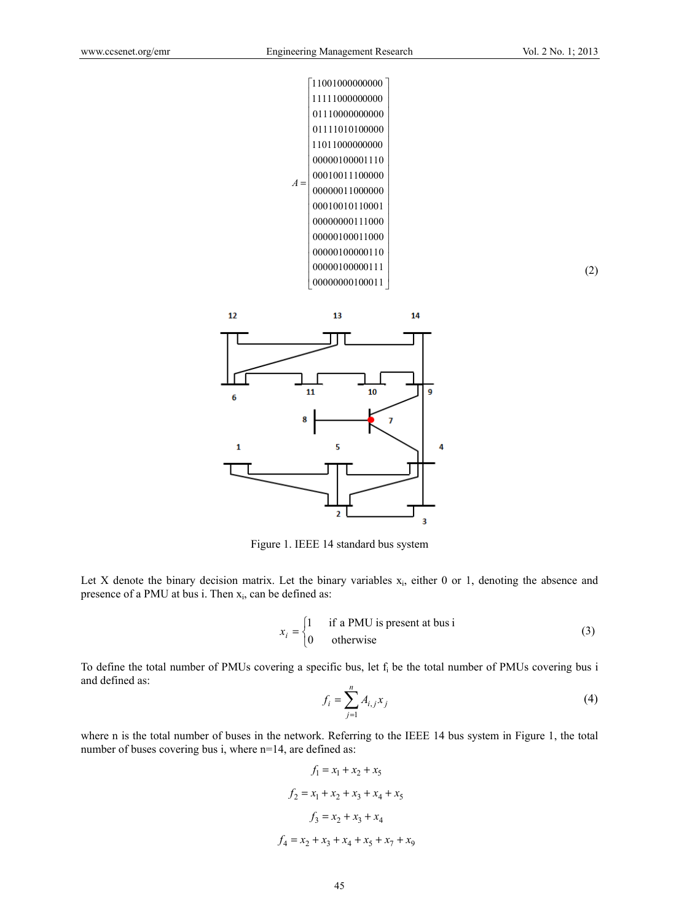



Figure 1. IEEE 14 standard bus system

Let X denote the binary decision matrix. Let the binary variables  $x_i$ , either 0 or 1, denoting the absence and presence of a PMU at bus i. Then  $x_i$ , can be defined as:

$$
x_i = \begin{cases} 1 & \text{if a PMU is present at bus i} \\ 0 & \text{otherwise} \end{cases}
$$
 (3)

*n* To define the total number of PMUs covering a specific bus, let  $f_i$  be the total number of PMUs covering bus i and defined as:

$$
f_i = \sum_{j=1}^{n} A_{i,j} x_j \tag{4}
$$

where n is the total number of buses in the network. Referring to the IEEE 14 bus system in Figure 1, the total number of buses covering bus i, where  $n=14$ , are defined as:

$$
f_1 = x_1 + x_2 + x_5
$$
  
\n
$$
f_2 = x_1 + x_2 + x_3 + x_4 + x_5
$$
  
\n
$$
f_3 = x_2 + x_3 + x_4
$$
  
\n
$$
f_4 = x_2 + x_3 + x_4 + x_5 + x_7 + x_9
$$

(2)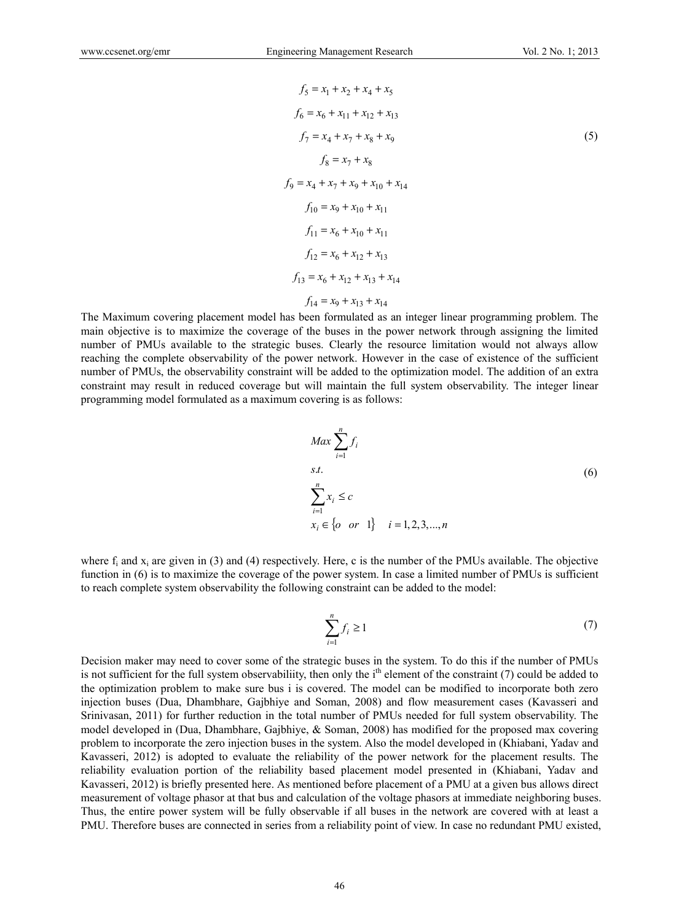$$
f_5 = x_1 + x_2 + x_4 + x_5
$$
  
\n
$$
f_6 = x_6 + x_{11} + x_{12} + x_{13}
$$
  
\n
$$
f_7 = x_4 + x_7 + x_8 + x_9
$$
  
\n
$$
f_8 = x_7 + x_8
$$
  
\n
$$
f_9 = x_4 + x_7 + x_9 + x_{10} + x_{14}
$$
  
\n
$$
f_{10} = x_9 + x_{10} + x_{11}
$$
  
\n
$$
f_{11} = x_6 + x_{10} + x_{11}
$$
  
\n
$$
f_{12} = x_6 + x_{12} + x_{13}
$$
  
\n
$$
f_{13} = x_6 + x_{12} + x_{13} + x_{14}
$$
  
\n
$$
f_{14} = x_9 + x_{13} + x_{14}
$$

The Maximum covering placement model has been formulated as an integer linear programming problem. The main objective is to maximize the coverage of the buses in the power network through assigning the limited number of PMUs available to the strategic buses. Clearly the resource limitation would not always allow reaching the complete observability of the power network. However in the case of existence of the sufficient number of PMUs, the observability constraint will be added to the optimization model. The addition of an extra constraint may result in reduced coverage but will maintain the full system observability. The integer linear programming model formulated as a maximum covering is as follows:

$$
Max \sum_{i=1}^{n} f_i
$$
  
s.t.  

$$
\sum_{i=1}^{n} x_i \le c
$$
  

$$
x_i \in \{o \text{ or } 1\} \quad i = 1, 2, 3, ..., n
$$
 (6)

where  $f_i$  and  $x_i$  are given in (3) and (4) respectively. Here, c is the number of the PMUs available. The objective function in (6) is to maximize the coverage of the power system. In case a limited number of PMUs is sufficient to reach complete system observability the following constraint can be added to the model:

$$
\sum_{i=1}^{n} f_i \ge 1\tag{7}
$$

Decision maker may need to cover some of the strategic buses in the system. To do this if the number of PMUs is not sufficient for the full system observabiliity, then only the  $i<sup>th</sup>$  element of the constraint (7) could be added to the optimization problem to make sure bus i is covered. The model can be modified to incorporate both zero injection buses (Dua, Dhambhare, Gajbhiye and Soman, 2008) and flow measurement cases (Kavasseri and Srinivasan, 2011) for further reduction in the total number of PMUs needed for full system observability. The model developed in (Dua, Dhambhare, Gajbhiye, & Soman, 2008) has modified for the proposed max covering problem to incorporate the zero injection buses in the system. Also the model developed in (Khiabani, Yadav and Kavasseri, 2012) is adopted to evaluate the reliability of the power network for the placement results. The reliability evaluation portion of the reliability based placement model presented in (Khiabani, Yadav and Kavasseri, 2012) is briefly presented here. As mentioned before placement of a PMU at a given bus allows direct measurement of voltage phasor at that bus and calculation of the voltage phasors at immediate neighboring buses. Thus, the entire power system will be fully observable if all buses in the network are covered with at least a PMU. Therefore buses are connected in series from a reliability point of view. In case no redundant PMU existed,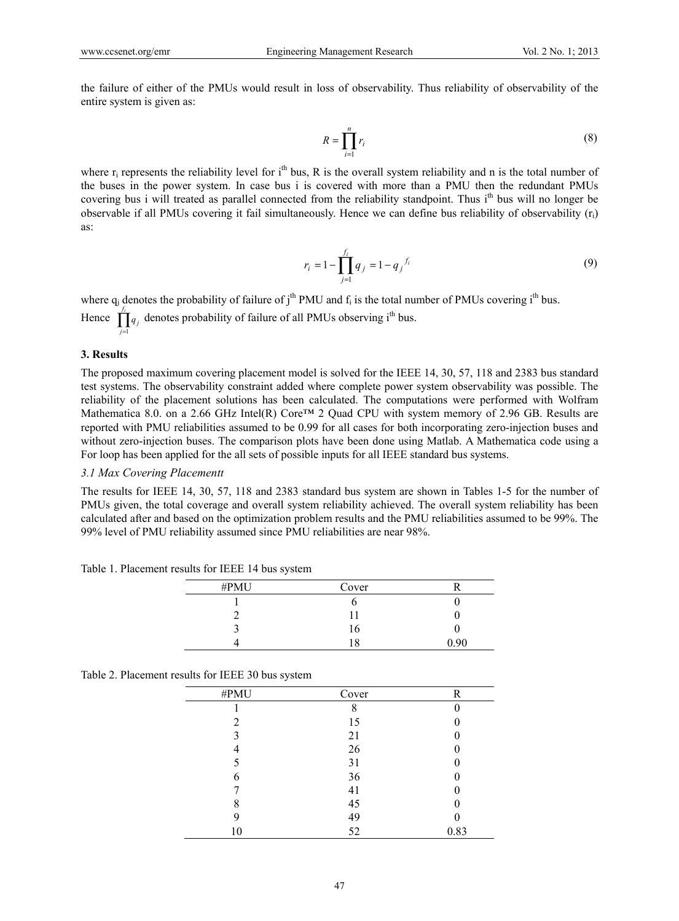the failure of either of the PMUs would result in loss of observability. Thus reliability of observability of the entire system is given as:

$$
R = \prod_{i=1}^{n} r_i
$$
 (8)

where  $r_i$  represents the reliability level for i<sup>th</sup> bus, R is the overall system reliability and n is the total number of the buses in the power system. In case bus i is covered with more than a PMU then the redundant PMUs covering bus i will treated as parallel connected from the reliability standpoint. Thus i<sup>th</sup> bus will no longer be observable if all PMUs covering it fail simultaneously. Hence we can define bus reliability of observability  $(r_i)$ as:

$$
r_i = 1 - \prod_{j=1}^{f_i} q_j = 1 - q_j^{f_i}
$$
 (9)

 $\prod_{j=1}^{f_i}$ *j* Hence  $\prod_{i=1}^{n} q_i$  denotes probability of failure of all PMUs observing i<sup>th</sup> bus. 1 where  $q_i$  denotes the probability of failure of  $j<sup>th</sup>$  PMU and  $f_i$  is the total number of PMUs covering  $i<sup>th</sup>$  bus.

### **3. Results**

The proposed maximum covering placement model is solved for the IEEE 14, 30, 57, 118 and 2383 bus standard test systems. The observability constraint added where complete power system observability was possible. The reliability of the placement solutions has been calculated. The computations were performed with Wolfram Mathematica 8.0. on a 2.66 GHz Intel(R) Core™ 2 Quad CPU with system memory of 2.96 GB. Results are reported with PMU reliabilities assumed to be 0.99 for all cases for both incorporating zero-injection buses and without zero-injection buses. The comparison plots have been done using Matlab. A Mathematica code using a For loop has been applied for the all sets of possible inputs for all IEEE standard bus systems.

### *3.1 Max Covering Placementt*

The results for IEEE 14, 30, 57, 118 and 2383 standard bus system are shown in Tables 1-5 for the number of PMUs given, the total coverage and overall system reliability achieved. The overall system reliability has been calculated after and based on the optimization problem results and the PMU reliabilities assumed to be 99%. The 99% level of PMU reliability assumed since PMU reliabilities are near 98%.

| #PMU | Cover |        |
|------|-------|--------|
|      |       |        |
|      |       |        |
|      | 16    | $\sim$ |
|      | 18    | 0.90   |

Table 1. Placement results for IEEE 14 bus system

| Table 2. Placement results for IEEE 30 bus system |  |
|---------------------------------------------------|--|
|---------------------------------------------------|--|

| #PMU | Cover | R    |
|------|-------|------|
|      | Q     |      |
|      | 15    |      |
|      | 21    |      |
|      | 26    |      |
|      | 31    |      |
|      | 36    |      |
|      | 41    |      |
|      | 45    |      |
|      | 49    |      |
| 10   | 52    | 0.83 |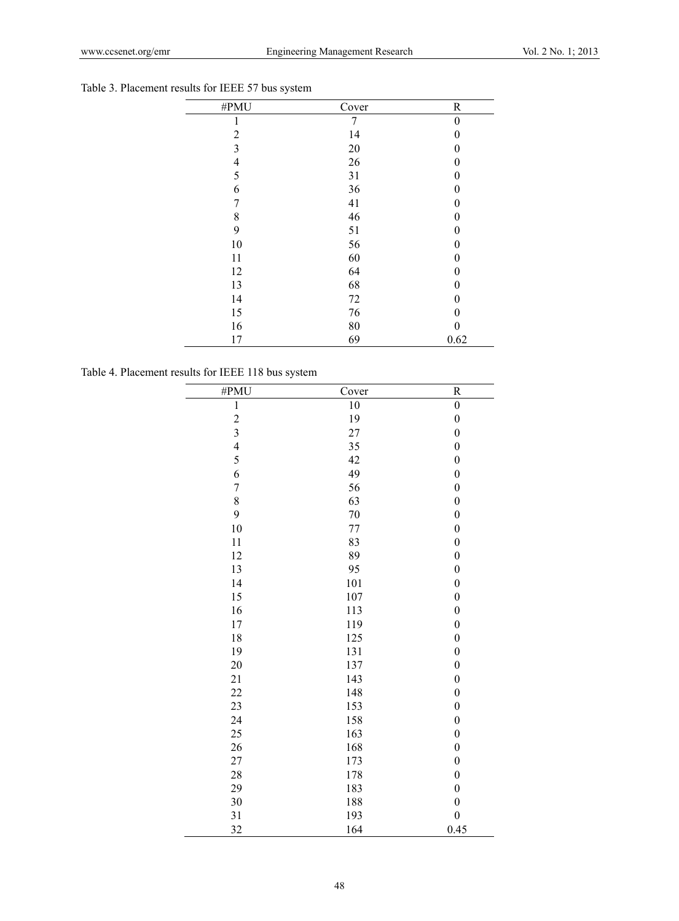| #PMU           | Cover | R              |
|----------------|-------|----------------|
| 1              | 7     | $\theta$       |
| $\overline{c}$ | 14    | $\theta$       |
| 3              | 20    | $\Omega$       |
| 4              | 26    | 0              |
| 5              | 31    | 0              |
| 6              | 36    | $\Omega$       |
| 7              | 41    | $\Omega$       |
| 8              | 46    | $\theta$       |
| 9              | 51    | $\overline{0}$ |
| 10             | 56    | $\overline{0}$ |
| 11             | 60    | $\overline{0}$ |
| 12             | 64    | 0              |
| 13             | 68    | 0              |
| 14             | 72    | 0              |
| 15             | 76    | 0              |
| 16             | 80    | 0              |
| 17             | 69    | 0.62           |

## Table 3. Placement results for IEEE 57 bus system

### Table 4. Placement results for IEEE 118 bus system

| #PMU           | Cover  | $\mathbb R$      |
|----------------|--------|------------------|
| $\,1\,$        | 10     | $\boldsymbol{0}$ |
|                | 19     | $\boldsymbol{0}$ |
| $\frac{2}{3}$  | 27     | $\boldsymbol{0}$ |
| $\overline{4}$ | 35     | $\boldsymbol{0}$ |
| 5              | 42     | $\overline{0}$   |
| 6              | 49     | $\boldsymbol{0}$ |
| $\overline{7}$ | 56     | $\boldsymbol{0}$ |
| 8              | 63     | $\boldsymbol{0}$ |
| 9              | $70\,$ | $\boldsymbol{0}$ |
| 10             | 77     | $\boldsymbol{0}$ |
| 11             | 83     | $\boldsymbol{0}$ |
| 12             | 89     | $\overline{0}$   |
| 13             | 95     | $\boldsymbol{0}$ |
| 14             | 101    | $\boldsymbol{0}$ |
| 15             | 107    | $\boldsymbol{0}$ |
| 16             | 113    | $\boldsymbol{0}$ |
| 17             | 119    | $\boldsymbol{0}$ |
| 18             | 125    | $\boldsymbol{0}$ |
| 19             | 131    | $\boldsymbol{0}$ |
| 20             | 137    | $\overline{0}$   |
| 21             | 143    | $\boldsymbol{0}$ |
| 22             | 148    | $\boldsymbol{0}$ |
| 23             | 153    | $\boldsymbol{0}$ |
| 24             | 158    | $\boldsymbol{0}$ |
| 25             | 163    | $\boldsymbol{0}$ |
| 26             | 168    | $\boldsymbol{0}$ |
| 27             | 173    | $\boldsymbol{0}$ |
| 28             | 178    | $\boldsymbol{0}$ |
| 29             | 183    | $\boldsymbol{0}$ |
| 30             | 188    | $\boldsymbol{0}$ |
| 31             | 193    | $\overline{0}$   |
| 32             | 164    | 0.45             |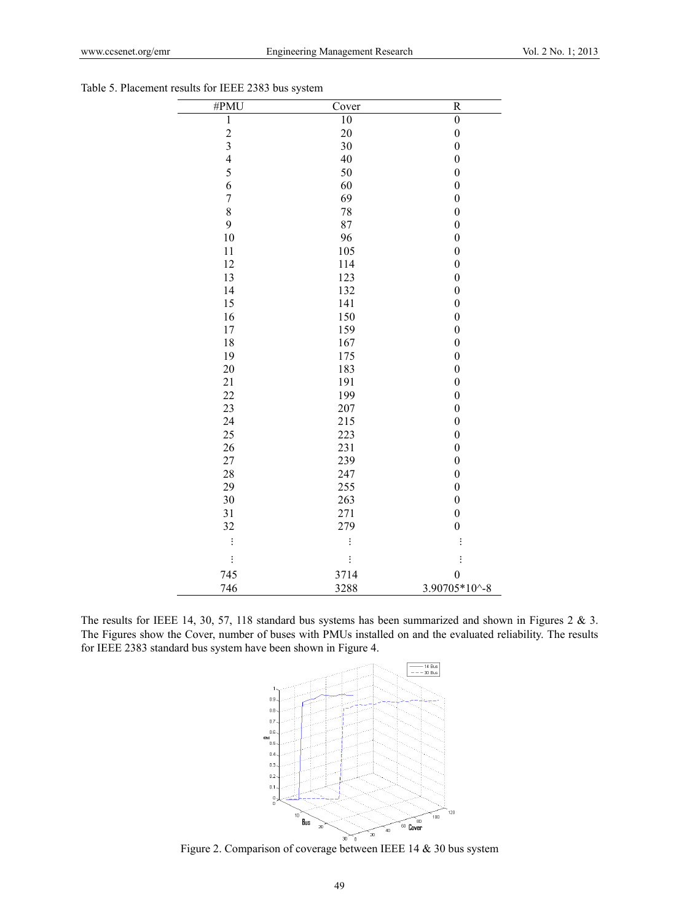|  |  | Table 5. Placement results for IEEE 2383 bus system |
|--|--|-----------------------------------------------------|
|  |  |                                                     |

| #PMU           | Cover    | R                |
|----------------|----------|------------------|
|                | 10       | $\overline{0}$   |
| $\frac{1}{2}$  | 20       | $\boldsymbol{0}$ |
|                | 30       | $\boldsymbol{0}$ |
| $\overline{4}$ | 40       | $\boldsymbol{0}$ |
| $\overline{5}$ | 50       | $\boldsymbol{0}$ |
| 6              | 60       | $\boldsymbol{0}$ |
| $\overline{7}$ | 69       | $\boldsymbol{0}$ |
| 8              | 78       | $\boldsymbol{0}$ |
| 9              | 87       | $\boldsymbol{0}$ |
| 10             | 96       | $\overline{0}$   |
| 11             | 105      | $\overline{0}$   |
| 12             | 114      | $\boldsymbol{0}$ |
| 13             | 123      | $\boldsymbol{0}$ |
| 14             | 132      | $\boldsymbol{0}$ |
| 15             | 141      | $\boldsymbol{0}$ |
| 16             | 150      | $\boldsymbol{0}$ |
| 17             | 159      | $\overline{0}$   |
| 18             | 167      | $\boldsymbol{0}$ |
| 19             | 175      | $\boldsymbol{0}$ |
| 20             | 183      | $\overline{0}$   |
| 21             | 191      | $\boldsymbol{0}$ |
| 22             | 199      | $\boldsymbol{0}$ |
| 23             | 207      | $\boldsymbol{0}$ |
| 24             | 215      | $\boldsymbol{0}$ |
| 25             | 223      | $\boldsymbol{0}$ |
| 26             | 231      | $\boldsymbol{0}$ |
| 27             | 239      | $\boldsymbol{0}$ |
| 28             | 247      | $\boldsymbol{0}$ |
| 29             | 255      | $\boldsymbol{0}$ |
| 30             | 263      | $\boldsymbol{0}$ |
| 31             | 271      | $\boldsymbol{0}$ |
| 32             | 279      | $\overline{0}$   |
| $\vdots$       | $\vdots$ | $\vdots$         |
| $\vdots$       | $\vdots$ | $\vdots$         |
| 745            | 3714     | $\boldsymbol{0}$ |
| 746            | 3288     | 3.90705*10^-8    |

The results for IEEE 14, 30, 57, 118 standard bus systems has been summarized and shown in Figures 2 & 3. The Figures show the Cover, number of buses with PMUs installed on and the evaluated reliability. The results for IEEE 2383 standard bus system have been shown in Figure 4.



Figure 2. Comparison of coverage between IEEE 14 & 30 bus system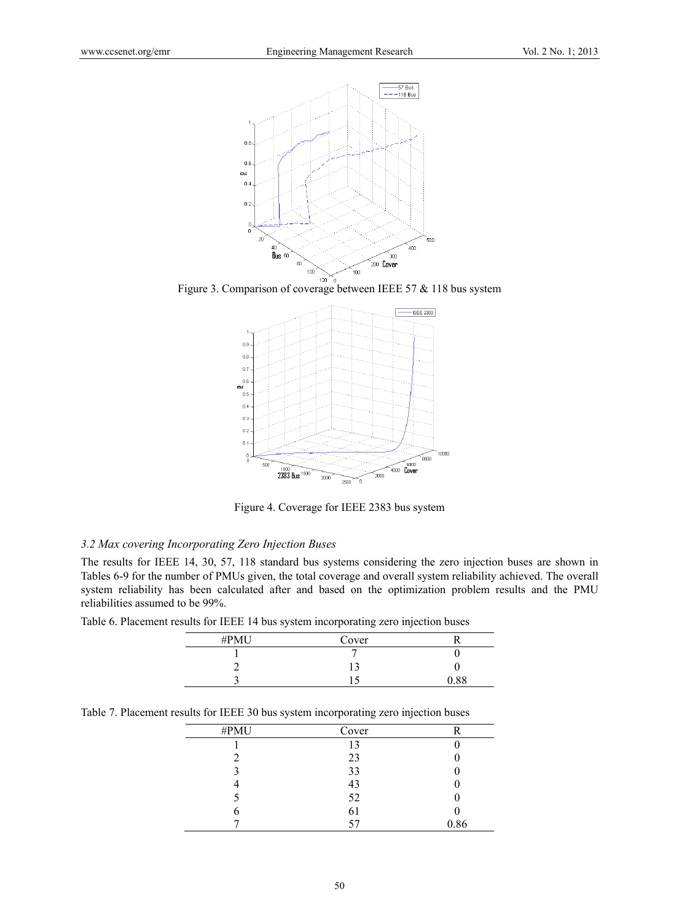

Figure 3. Comparison of coverage between IEEE 57 & 118 bus system



Figure 4. Coverage for IEEE 2383 bus system

### *3.2 Max covering Incorporating Zero Injection Buses*

The results for IEEE 14, 30, 57, 118 standard bus systems considering the zero injection buses are shown in Tables 6-9 for the number of PMUs given, the total coverage and overall system reliability achieved. The overall system reliability has been calculated after and based on the optimization problem results and the PMU reliabilities assumed to be 99%.

|      | ັ     | ◡     |
|------|-------|-------|
| #PMU | Cover |       |
|      |       |       |
|      |       |       |
|      |       | . Q ' |

Table 6. Placement results for IEEE 14 bus system incorporating zero injection buses

|  |  |  | Table 7. Placement results for IEEE 30 bus system incorporating zero injection buses |  |  |
|--|--|--|--------------------------------------------------------------------------------------|--|--|
|  |  |  |                                                                                      |  |  |

| #PMU | Cover |      |
|------|-------|------|
|      | 13    |      |
|      | 23    |      |
|      | 33    |      |
|      | 43    |      |
|      | 52    |      |
|      | 61    |      |
|      |       | 0.86 |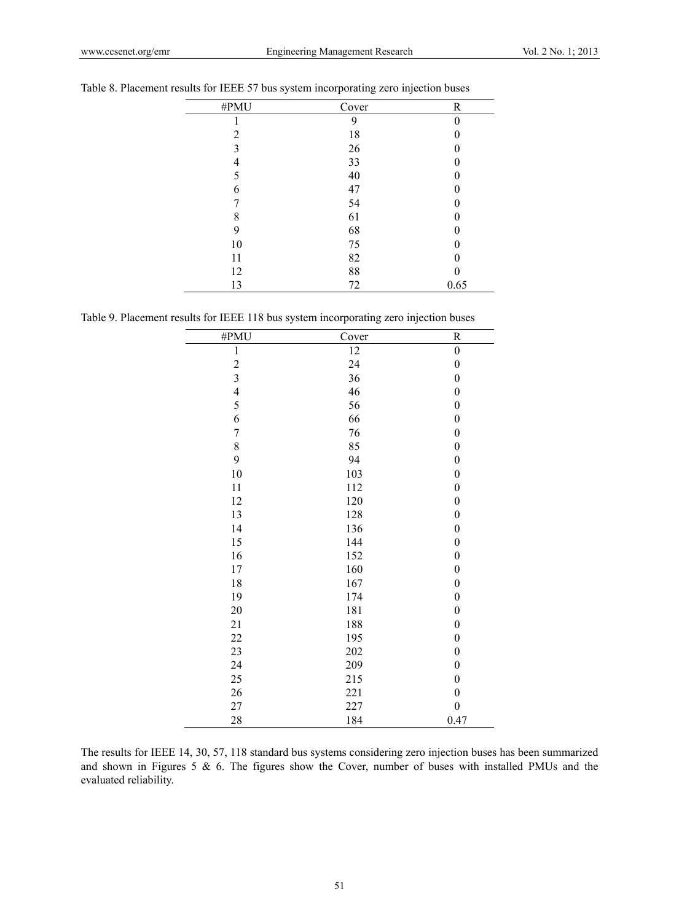| #PMU | Cover | R    |
|------|-------|------|
|      | 9     |      |
| 2    | 18    |      |
|      | 26    |      |
|      | 33    |      |
| 5    | 40    |      |
| 6    | 47    |      |
|      | 54    |      |
| 8    | 61    |      |
| 9    | 68    |      |
| 10   | 75    |      |
| 11   | 82    |      |
| 12   | 88    |      |
| 13   | 72    | 0.65 |

### Table 8. Placement results for IEEE 57 bus system incorporating zero injection buses

Table 9. Placement results for IEEE 118 bus system incorporating zero injection buses

| #PMU                    | Cover | $\mathbf R$      |
|-------------------------|-------|------------------|
| $\,1$                   | 12    | $\boldsymbol{0}$ |
| $\overline{\mathbf{c}}$ | 24    | $\boldsymbol{0}$ |
| $\overline{\mathbf{3}}$ | 36    | $\boldsymbol{0}$ |
| $\overline{4}$          | 46    | $\boldsymbol{0}$ |
| 5                       | 56    | $\boldsymbol{0}$ |
| 6                       | 66    | $\boldsymbol{0}$ |
| $\boldsymbol{7}$        | 76    | $\boldsymbol{0}$ |
| 8                       | 85    | $\boldsymbol{0}$ |
| 9                       | 94    | $\boldsymbol{0}$ |
| $10\,$                  | 103   | $\boldsymbol{0}$ |
| 11                      | 112   | $\boldsymbol{0}$ |
| 12                      | 120   | $\boldsymbol{0}$ |
| 13                      | 128   | $\boldsymbol{0}$ |
| 14                      | 136   | $\boldsymbol{0}$ |
| 15                      | 144   | $\boldsymbol{0}$ |
| 16                      | 152   | $\boldsymbol{0}$ |
| 17                      | 160   | $\boldsymbol{0}$ |
| 18                      | 167   | $\boldsymbol{0}$ |
| 19                      | 174   | $\boldsymbol{0}$ |
| 20                      | 181   | $\boldsymbol{0}$ |
| 21                      | 188   | $\boldsymbol{0}$ |
| 22                      | 195   | $\boldsymbol{0}$ |
| 23                      | 202   | $\boldsymbol{0}$ |
| 24                      | 209   | $\boldsymbol{0}$ |
| 25                      | 215   | $\boldsymbol{0}$ |
| 26                      | 221   | $\boldsymbol{0}$ |
| 27                      | 227   | $\boldsymbol{0}$ |
| 28                      | 184   | 0.47             |

The results for IEEE 14, 30, 57, 118 standard bus systems considering zero injection buses has been summarized and shown in Figures 5 & 6. The figures show the Cover, number of buses with installed PMUs and the evaluated reliability.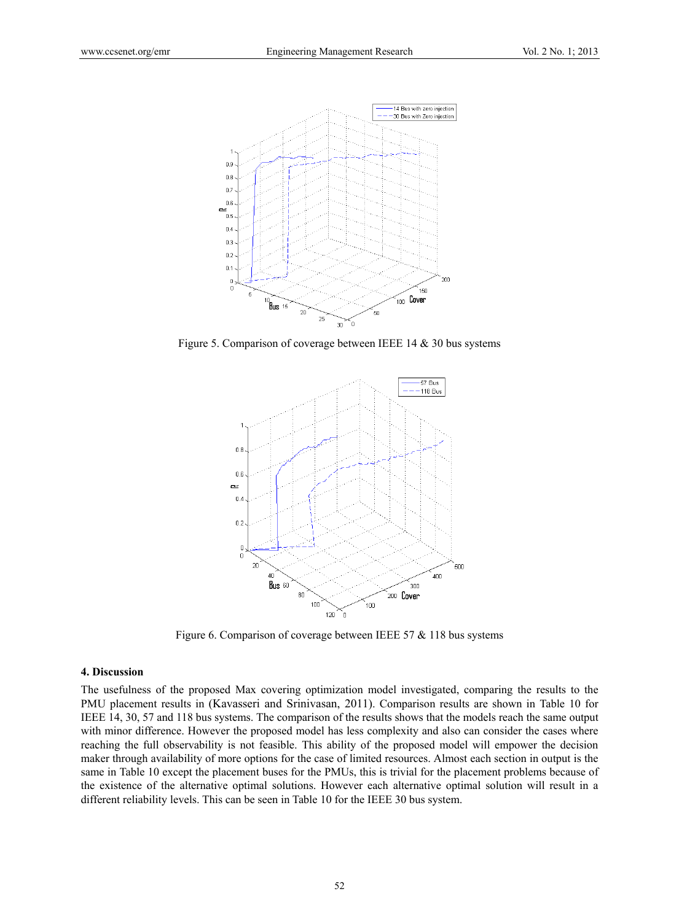

Figure 5. Comparison of coverage between IEEE 14 & 30 bus systems



Figure 6. Comparison of coverage between IEEE 57 & 118 bus systems

### **4. Discussion**

The usefulness of the proposed Max covering optimization model investigated, comparing the results to the PMU placement results in (Kavasseri and Srinivasan, 2011). Comparison results are shown in Table 10 for IEEE 14, 30, 57 and 118 bus systems. The comparison of the results shows that the models reach the same output with minor difference. However the proposed model has less complexity and also can consider the cases where reaching the full observability is not feasible. This ability of the proposed model will empower the decision maker through availability of more options for the case of limited resources. Almost each section in output is the same in Table 10 except the placement buses for the PMUs, this is trivial for the placement problems because of the existence of the alternative optimal solutions. However each alternative optimal solution will result in a different reliability levels. This can be seen in Table 10 for the IEEE 30 bus system.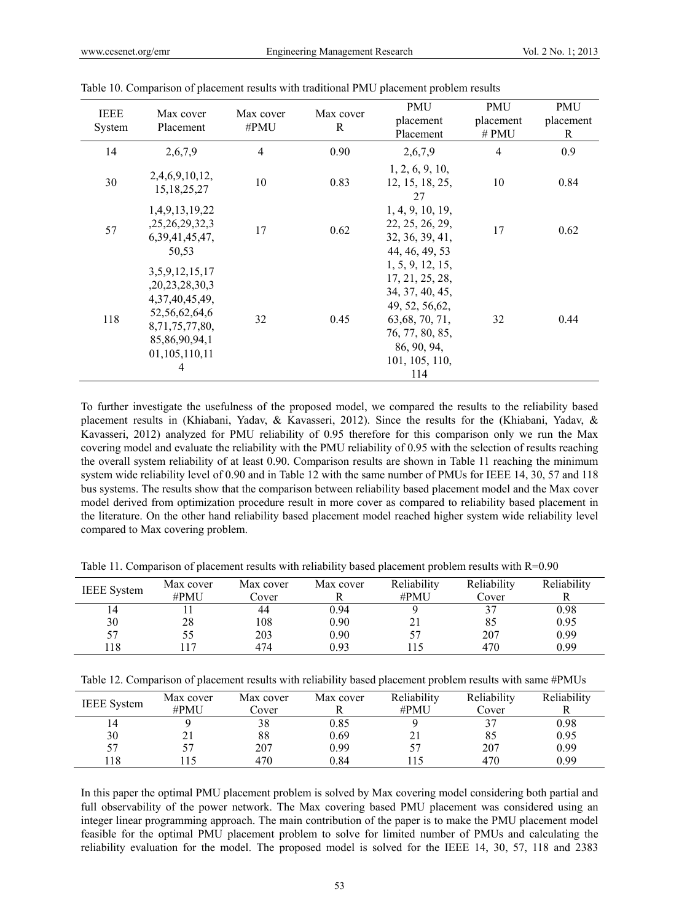| <b>IEEE</b> | Max cover                                                                                                                        | Max cover      | Max cover | <b>PMU</b>                                                                                                                                              | <b>PMU</b>     | <b>PMU</b> |
|-------------|----------------------------------------------------------------------------------------------------------------------------------|----------------|-----------|---------------------------------------------------------------------------------------------------------------------------------------------------------|----------------|------------|
| System      | Placement                                                                                                                        | #PMU           | R         | placement                                                                                                                                               | placement      | placement  |
|             |                                                                                                                                  |                |           | Placement                                                                                                                                               | # PMU          | R          |
| 14          | 2,6,7,9                                                                                                                          | $\overline{4}$ | 0.90      | 2,6,7,9                                                                                                                                                 | $\overline{4}$ | 0.9        |
| 30          | 2,4,6,9,10,12,<br>15, 18, 25, 27                                                                                                 | 10             | 0.83      | 1, 2, 6, 9, 10,<br>12, 15, 18, 25,<br>27                                                                                                                | 10             | 0.84       |
| 57          | 1,4,9,13,19,22<br>,25,26,29,32,3<br>6, 39, 41, 45, 47,<br>50,53                                                                  | 17             | 0.62      | 1, 4, 9, 10, 19,<br>22, 25, 26, 29,<br>32, 36, 39, 41,<br>44, 46, 49, 53                                                                                | 17             | 0.62       |
| 118         | 3,5,9,12,15,17<br>,20,23,28,30,3<br>4, 37, 40, 45, 49,<br>52,56,62,64,6<br>8,71,75,77,80,<br>85,86,90,94,1<br>01,105,110,11<br>4 | 32             | 0.45      | 1, 5, 9, 12, 15,<br>17, 21, 25, 28,<br>34, 37, 40, 45,<br>49, 52, 56, 62,<br>63, 68, 70, 71,<br>76, 77, 80, 85,<br>86, 90, 94,<br>101, 105, 110,<br>114 | 32             | 0.44       |

Table 10. Comparison of placement results with traditional PMU placement problem results

To further investigate the usefulness of the proposed model, we compared the results to the reliability based placement results in (Khiabani, Yadav, & Kavasseri, 2012). Since the results for the (Khiabani, Yadav, & Kavasseri, 2012) analyzed for PMU reliability of 0.95 therefore for this comparison only we run the Max covering model and evaluate the reliability with the PMU reliability of 0.95 with the selection of results reaching the overall system reliability of at least 0.90. Comparison results are shown in Table 11 reaching the minimum system wide reliability level of 0.90 and in Table 12 with the same number of PMUs for IEEE 14, 30, 57 and 118 bus systems. The results show that the comparison between reliability based placement model and the Max cover model derived from optimization procedure result in more cover as compared to reliability based placement in the literature. On the other hand reliability based placement model reached higher system wide reliability level compared to Max covering problem.

Table 11. Comparison of placement results with reliability based placement problem results with R=0.90

| <b>IEEE</b> System | Max cover<br>$\#PMI$ | Max cover<br>Cover | Max cover | Reliability<br># $PMU$ | Reliability<br>Cover | Reliability |
|--------------------|----------------------|--------------------|-----------|------------------------|----------------------|-------------|
| 14                 |                      | 44                 | 0.94      |                        |                      | 0.98        |
| 30                 | 28                   | 108                | 0.90      |                        | 85                   | 0.95        |
|                    | 55                   | 203                | 0.90      |                        | 207                  | 0.99        |
| 18                 | 17                   | 474                | 0.93      | -15                    | 470                  | 0.99        |

Table 12. Comparison of placement results with reliability based placement problem results with same #PMUs

| <b>IEEE</b> System | Max cover | Max cover | Max cover | Reliability | Reliability | Reliability |
|--------------------|-----------|-----------|-----------|-------------|-------------|-------------|
|                    | #PMU      | Cover     |           | #PMU        | Cover       |             |
| 14                 |           | 38        | 0.85      |             |             | 0.98        |
| 30                 | 41        | 88        | 0.69      | ∠ 1         |             | 0.95        |
|                    |           | 207       | 0.99      |             | 207         | 0.99        |
| 118                |           | 470       | 0.84      |             | 470         | 0.99        |

In this paper the optimal PMU placement problem is solved by Max covering model considering both partial and full observability of the power network. The Max covering based PMU placement was considered using an integer linear programming approach. The main contribution of the paper is to make the PMU placement model feasible for the optimal PMU placement problem to solve for limited number of PMUs and calculating the reliability evaluation for the model. The proposed model is solved for the IEEE 14, 30, 57, 118 and 2383